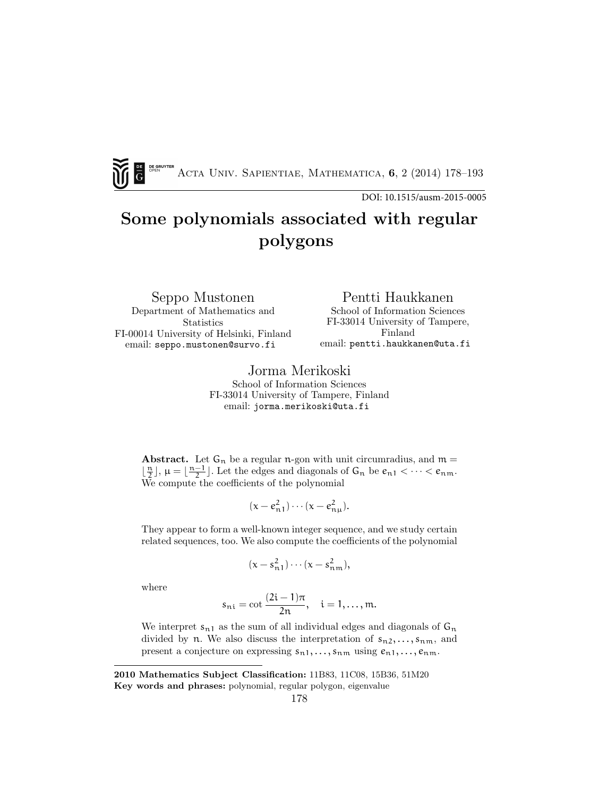ACTA UNIV. SAPIENTIAE, MATHEMATICA, 6, 2 (2014) 178-193

DOI: 10.1515/ausm-2015-0005

# Some polynomials associated with regular polygons

Seppo Mustonen Department of Mathematics and **Statistics** FI-00014 University of Helsinki, Finland email: seppo.mustonen@survo.fi

Pentti Haukkanen

School of Information Sciences FI-33014 University of Tampere, Finland email: pentti.haukkanen@uta.fi

Jorma Merikoski

School of Information Sciences FI-33014 University of Tampere, Finland email: jorma.merikoski@uta.fi

**Abstract.** Let  $G_n$  be a regular n-gon with unit circumradius, and  $m =$  $\lfloor \frac{n}{2} \rfloor$ ,  $\mu = \lfloor \frac{n-1}{2} \rfloor$ . Let the edges and diagonals of  $G_n$  be  $e_{n1} < \cdots < e_{nm}$ . We compute the coefficients of the polynomial

$$
(x-e_{n1}^2)\cdots(x-e_{n\mu}^2).
$$

They appear to form a well-known integer sequence, and we study certain related sequences, too. We also compute the coefficients of the polynomial

$$
(x-s_{n1}^2)\cdots(x-s_{n\,m}^2),
$$

where

$$
s_{ni} = \cot \frac{(2i-1)\pi}{2n}, \quad i = 1, ..., m.
$$

We interpret  $s_{n1}$  as the sum of all individual edges and diagonals of  $G_n$ divided by n. We also discuss the interpretation of  $s_{n2}, \ldots, s_{nm}$ , and present a conjecture on expressing  $s_{n1}, \ldots, s_{nm}$  using  $e_{n1}, \ldots, e_{nm}$ .

2010 Mathematics Subject Classification: 11B83, 11C08, 15B36, 51M20 Key words and phrases: polynomial, regular polygon, eigenvalue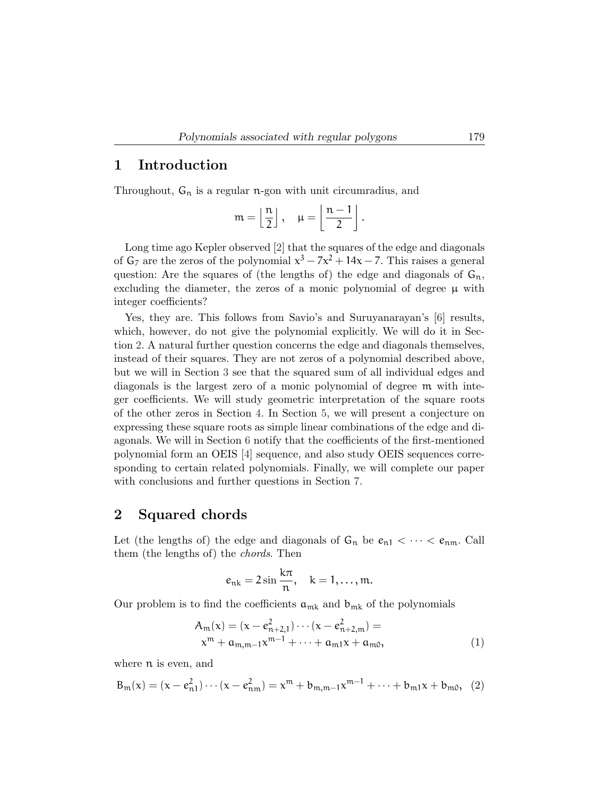#### 1 Introduction

Throughout,  $G_n$  is a regular n-gon with unit circumradius, and

$$
\mathfrak{m} = \left\lfloor \frac{\mathfrak{n}}{2} \right\rfloor, \quad \mu = \left\lfloor \frac{\mathfrak{n} - 1}{2} \right\rfloor.
$$

Long time ago Kepler observed [2] that the squares of the edge and diagonals of  $G_7$  are the zeros of the polynomial  $x^3 - 7x^2 + 14x - 7$ . This raises a general question: Are the squares of (the lengths of) the edge and diagonals of  $G_n$ , excluding the diameter, the zeros of a monic polynomial of degree  $\mu$  with integer coefficients?

Yes, they are. This follows from Savio's and Suruyanarayan's [6] results, which, however, do not give the polynomial explicitly. We will do it in Section 2. A natural further question concerns the edge and diagonals themselves, instead of their squares. They are not zeros of a polynomial described above, but we will in Section 3 see that the squared sum of all individual edges and diagonals is the largest zero of a monic polynomial of degree m with integer coefficients. We will study geometric interpretation of the square roots of the other zeros in Section 4. In Section 5, we will present a conjecture on expressing these square roots as simple linear combinations of the edge and diagonals. We will in Section 6 notify that the coefficients of the first-mentioned polynomial form an OEIS [4] sequence, and also study OEIS sequences corresponding to certain related polynomials. Finally, we will complete our paper with conclusions and further questions in Section 7.

#### 2 Squared chords

Let (the lengths of) the edge and diagonals of  $G_n$  be  $e_{n1} < \cdots < e_{nm}$ . Call them (the lengths of) the chords. Then

$$
e_{nk} = 2\sin\frac{k\pi}{n}, \quad k = 1, \ldots, m.
$$

Our problem is to find the coefficients  $a_{mk}$  and  $b_{mk}$  of the polynomials

$$
A_m(x) = (x - e_{n+2,1}^2) \cdots (x - e_{n+2,m}^2) =
$$
  
\n
$$
x^m + a_{m,m-1} x^{m-1} + \cdots + a_{m1} x + a_{m0},
$$
\n(1)

where n is even, and

$$
B_m(x) = (x - e_{n1}^2) \cdots (x - e_{nm}^2) = x^m + b_{m,m-1} x^{m-1} + \cdots + b_{m1} x + b_{m0}, \quad (2)
$$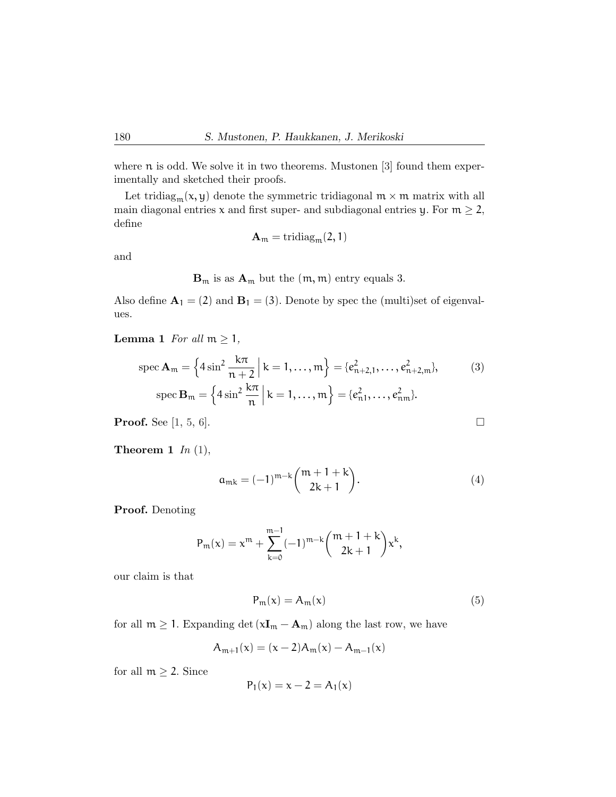where  $\pi$  is odd. We solve it in two theorems. Mustonen [3] found them experimentally and sketched their proofs.

Let tridiag<sub>m</sub> $(x, y)$  denote the symmetric tridiagonal  $m \times m$  matrix with all main diagonal entries x and first super- and subdiagonal entries y. For  $m \geq 2$ , define

$$
\mathbf{A}_{\mathfrak{m}} = \mathrm{tridiag}_{\mathfrak{m}}(2,1)
$$

and

 $\mathbf{B}_{m}$  is as  $\mathbf{A}_{m}$  but the  $(m, m)$  entry equals 3.

Also define  $\mathbf{A}_1 = (2)$  and  $\mathbf{B}_1 = (3)$ . Denote by spec the (multi)set of eigenvalues.

**Lemma 1** For all  $m \geq 1$ ,

$$
\operatorname{spec} \mathbf{A}_{m} = \left\{ 4 \sin^{2} \frac{k\pi}{n+2} \, \middle| \, k = 1, \dots, m \right\} = \left\{ e_{n+2,1}^{2}, \dots, e_{n+2,m}^{2} \right\},\tag{3}
$$
\n
$$
\operatorname{spec} \mathbf{B}_{m} = \left\{ 4 \sin^{2} \frac{k\pi}{n} \, \middle| \, k = 1, \dots, m \right\} = \left\{ e_{n1}^{2}, \dots, e_{nm}^{2} \right\}.
$$

**Proof.** See [1, 5, 6].

**Theorem 1** In  $(1)$ ,

$$
a_{mk} = (-1)^{m-k} \binom{m+1+k}{2k+1}.
$$
 (4)

Proof. Denoting

$$
P_m(x) = x^m + \sum_{k=0}^{m-1} (-1)^{m-k} {m+1+k \choose 2k+1} x^k,
$$

our claim is that

$$
P_m(x) = A_m(x) \tag{5}
$$

for all  $m \geq 1$ . Expanding det  $(xI_m - A_m)$  along the last row, we have

$$
A_{m+1}(x) = (x-2)A_m(x) - A_{m-1}(x)
$$

for all  $m \geq 2$ . Since

$$
P_1(x) = x - 2 = A_1(x)
$$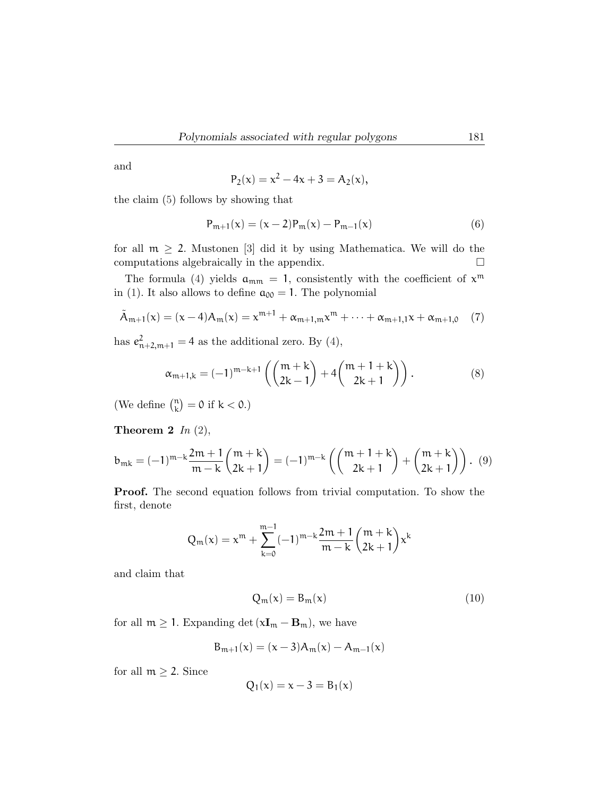and

$$
P_2(x) = x^2 - 4x + 3 = A_2(x),
$$

the claim (5) follows by showing that

$$
P_{m+1}(x) = (x-2)P_m(x) - P_{m-1}(x)
$$
\n(6)

for all  $m \geq 2$ . Mustonen [3] did it by using Mathematica. We will do the computations algebraically in the appendix.

The formula (4) yields  $a_{mm} = 1$ , consistently with the coefficient of  $x^m$ in (1). It also allows to define  $a_{00} = 1$ . The polynomial

$$
\tilde{A}_{m+1}(x) = (x-4)A_m(x) = x^{m+1} + \alpha_{m+1,m}x^m + \dots + \alpha_{m+1,1}x + \alpha_{m+1,0} \quad (7)
$$

has  $e_{n+2,m+1}^2 = 4$  as the additional zero. By (4),

$$
\alpha_{m+1,k} = (-1)^{m-k+1} \left( \binom{m+k}{2k-1} + 4 \binom{m+1+k}{2k+1} \right). \tag{8}
$$

(We define  $\binom{n}{k}$  $\binom{n}{k} = 0$  if  $k < 0.$ )

Theorem 2  $In (2),$ 

$$
b_{mk} = (-1)^{m-k} \frac{2m+1}{m-k} {m+k \choose 2k+1} = (-1)^{m-k} \left( {m+1+k \choose 2k+1} + {m+k \choose 2k+1} \right). \tag{9}
$$

Proof. The second equation follows from trivial computation. To show the first, denote

$$
Q_m(x) = x^m + \sum_{k=0}^{m-1} (-1)^{m-k} \frac{2m+1}{m-k} {m+k \choose 2k+1} x^k
$$

and claim that

$$
Q_m(x) = B_m(x) \tag{10}
$$

for all  $m \geq 1$ . Expanding det  $(xI_m - B_m)$ , we have

$$
B_{m+1}(x) = (x-3)A_m(x) - A_{m-1}(x)
$$

for all  $m \geq 2$ . Since

$$
Q_1(x) = x - 3 = B_1(x)
$$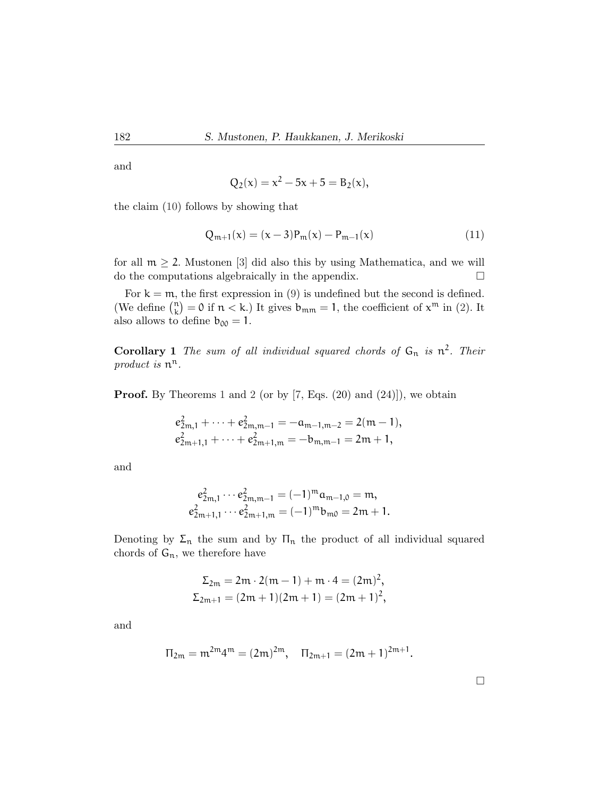and

$$
Q_2(x) = x^2 - 5x + 5 = B_2(x),
$$

the claim (10) follows by showing that

$$
Q_{m+1}(x) = (x-3)P_m(x) - P_{m-1}(x)
$$
\n(11)

for all  $m \geq 2$ . Mustonen [3] did also this by using Mathematica, and we will do the computations algebraically in the appendix.

For  $k = m$ , the first expression in (9) is undefined but the second is defined. (We define  $\binom{n}{k}$  $\mathbf{R}^n_k$  = 0 if  $n < k$ .) It gives  $\mathbf{b}_{mm} = 1$ , the coefficient of  $\mathbf{x}^m$  in (2). It also allows to define  $b_{00} = 1$ .

**Corollary 1** The sum of all individual squared chords of  $G_n$  is  $n^2$ . Their product is  $n^n$ .

**Proof.** By Theorems 1 and 2 (or by  $[7, Eqs. (20)$  and  $(24)]$ ), we obtain

$$
e_{2m,1}^2 + \cdots + e_{2m,m-1}^2 = -\mathfrak{a}_{m-1,m-2} = 2(m-1),
$$
  
 $e_{2m+1,1}^2 + \cdots + e_{2m+1,m}^2 = -\mathfrak{b}_{m,m-1} = 2m+1,$ 

and

$$
e_{2m,1}^2 \cdots e_{2m,m-1}^2 = (-1)^m a_{m-1,0} = m,
$$
  

$$
e_{2m+1,1}^2 \cdots e_{2m+1,m}^2 = (-1)^m b_{m0} = 2m + 1.
$$

Denoting by  $\Sigma_n$  the sum and by  $\Pi_n$  the product of all individual squared chords of  $G_n$ , we therefore have

$$
\Sigma_{2m} = 2m \cdot 2(m-1) + m \cdot 4 = (2m)^2,
$$
  
\n
$$
\Sigma_{2m+1} = (2m+1)(2m+1) = (2m+1)^2,
$$

and

$$
\Pi_{2m}=m^{2m}4^m=(2m)^{2m},\quad \Pi_{2m+1}=(2m+1)^{2m+1}.
$$

 $\Box$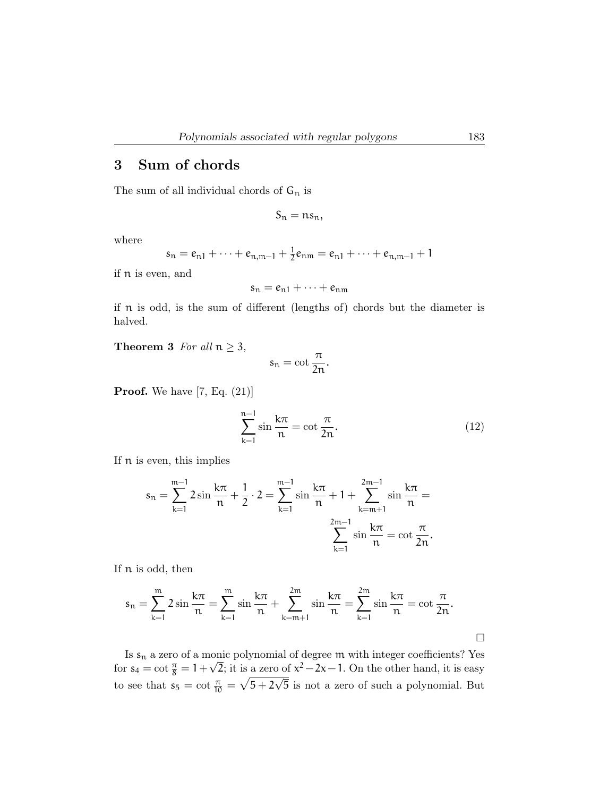### 3 Sum of chords

The sum of all individual chords of  $G_n$  is

$$
S_n = ns_n,
$$

where

$$
s_n = e_{n1} + \cdots + e_{n,m-1} + \frac{1}{2}e_{nm} = e_{n1} + \cdots + e_{n,m-1} + 1
$$

if n is even, and

 $s_n = e_{n1} + \cdots + e_{nm}$ 

if n is odd, is the sum of different (lengths of) chords but the diameter is halved.

**Theorem 3** For all  $n \geq 3$ ,

$$
s_n=\cot\frac{\pi}{2n}.
$$

**Proof.** We have  $[7, Eq. (21)]$ 

$$
\sum_{k=1}^{n-1} \sin \frac{k\pi}{n} = \cot \frac{\pi}{2n}.
$$
 (12)

If n is even, this implies

$$
s_n = \sum_{k=1}^{m-1} 2 \sin \frac{k\pi}{n} + \frac{1}{2} \cdot 2 = \sum_{k=1}^{m-1} \sin \frac{k\pi}{n} + 1 + \sum_{k=m+1}^{2m-1} \sin \frac{k\pi}{n} = \sum_{k=1}^{2m-1} \sin \frac{k\pi}{n} = \cot \frac{\pi}{2n}.
$$

If n is odd, then

$$
s_n = \sum_{k=1}^m 2 \sin \frac{k\pi}{n} = \sum_{k=1}^m \sin \frac{k\pi}{n} + \sum_{k=m+1}^{2m} \sin \frac{k\pi}{n} = \sum_{k=1}^{2m} \sin \frac{k\pi}{n} = \cot \frac{\pi}{2n}.
$$

Is  $s_n$  a zero of a monic polynomial of degree  $m$  with integer coefficients? Yes for  $s_4 = \cot \frac{\pi}{8} = 1 +$ ا[0]<br>⁄  $\overline{2}$ ; it is a zero of  $x^2 - 2x - 1$ . On the other hand, it is easy to see that  $s_5 = \cot \frac{\pi}{10} = \sqrt{5+2}$ √ 5 is not a zero of such a polynomial. But

 $\Box$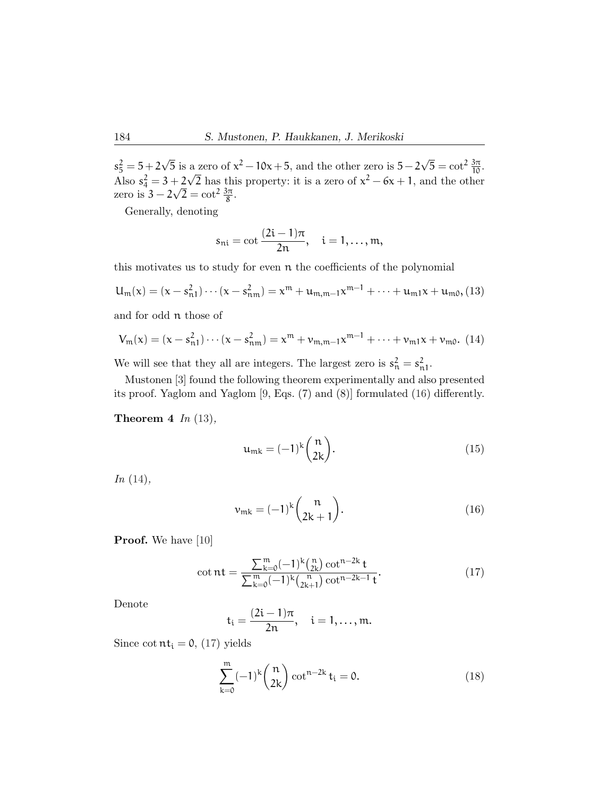$s_5^2 = 5 + 2$ √  $\overline{5}$  is a zero of  $x^2 - 10x + 5$ , and the other zero is  $5 - 2\sqrt{5} = \cot^2 \frac{3\pi}{10}$ . Also  $s_4^2 = 3 + 2$ √  $+\frac{2}{\sqrt{2}}\text{ has this property: it is a zero of }x^2-6x+1,$  and the other zero is  $3 - 2\sqrt{2} = \cot^2 \frac{3\pi}{8}$ .

Generally, denoting

$$
s_{ni} = \cot \frac{(2i-1)\pi}{2n}, \quad i = 1, ..., m,
$$

this motivates us to study for even n the coefficients of the polynomial

$$
U_m(x) = (x - s_{n1}^2) \cdots (x - s_{nm}^2) = x^m + u_{m,m-1} x^{m-1} + \cdots + u_{m1} x + u_{m0},
$$
 (13)

and for odd n those of

$$
V_m(x) = (x - s_{n1}^2) \cdots (x - s_{nm}^2) = x^m + \nu_{m,m-1} x^{m-1} + \cdots + \nu_{m1} x + \nu_{m0}. (14)
$$

We will see that they all are integers. The largest zero is  $s_n^2 = s_{n1}^2$ .

Mustonen [3] found the following theorem experimentally and also presented its proof. Yaglom and Yaglom [9, Eqs. (7) and (8)] formulated (16) differently.

**Theorem 4** In  $(13)$ ,

$$
\mathfrak{u}_{mk} = (-1)^k \binom{\mathfrak{n}}{2k}.\tag{15}
$$

 $In (14),$ 

$$
v_{mk} = (-1)^k \binom{n}{2k+1}.
$$
\n(16)

**Proof.** We have [10]

$$
\cot nt = \frac{\sum_{k=0}^{m} (-1)^k {n \choose 2k} \cot^{n-2k} t}{\sum_{k=0}^{m} (-1)^k {n \choose 2k+1} \cot^{n-2k-1} t}.
$$
 (17)

Denote

$$
t_i = \frac{(2i-1)\pi}{2n}
$$
,  $i = 1,..., m$ .

Since  $\cot \pi t_i = 0$ , (17) yields

$$
\sum_{k=0}^{m} (-1)^{k} {n \choose 2k} \cot^{n-2k} t_i = 0.
$$
 (18)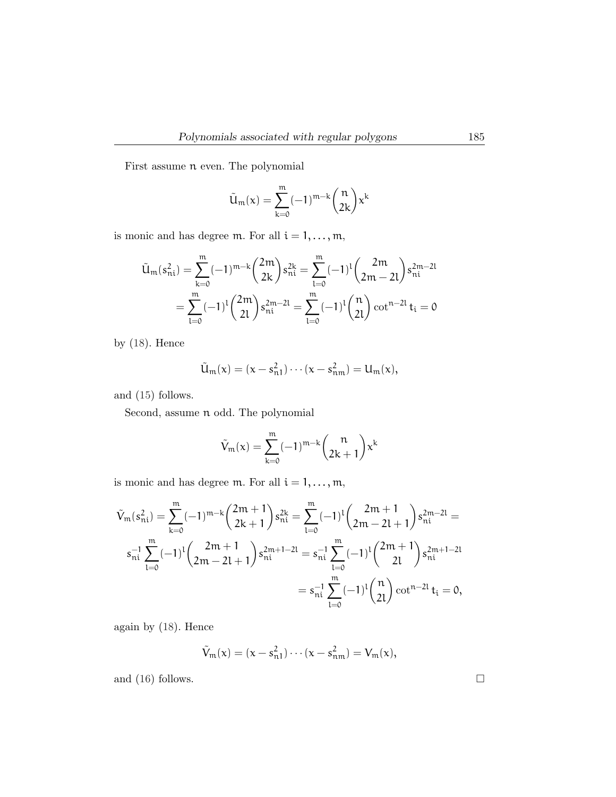First assume n even. The polynomial

$$
\tilde{u}_m(\mathsf{x})=\sum_{k=0}^m(-1)^{m-k}\binom{n}{2k}\mathsf{x}^k
$$

is monic and has degree  $\mathfrak{m}.$  For all  $\mathfrak{i}=1,\ldots,\mathfrak{m},$ 

$$
\tilde{u}_{m}(s_{ni}^{2}) = \sum_{k=0}^{m} (-1)^{m-k} {2m \choose 2k} s_{ni}^{2k} = \sum_{l=0}^{m} (-1)^{l} {2m \choose 2m-2l} s_{ni}^{2m-2l}
$$

$$
= \sum_{l=0}^{m} (-1)^{l} {2m \choose 2l} s_{ni}^{2m-2l} = \sum_{l=0}^{m} (-1)^{l} {n \choose 2l} \cot^{n-2l} t_{i} = 0
$$

by (18). Hence

$$
\tilde{U}_m(x) = (x - s_{n1}^2) \cdots (x - s_{nm}^2) = U_m(x),
$$

and (15) follows.

Second, assume n odd. The polynomial

$$
\tilde{V}_m(x)=\sum_{k=0}^m(-1)^{m-k}\binom{n}{2k+1}x^k
$$

is monic and has degree  $\mathfrak{m}.$  For all  $\mathfrak{i}=1,\ldots,\mathfrak{m},$ 

$$
\tilde{V}_{m}(s_{ni}^{2}) = \sum_{k=0}^{m} (-1)^{m-k} {2m+1 \choose 2k+1} s_{ni}^{2k} = \sum_{l=0}^{m} (-1)^{l} {2m+1 \choose 2m-2l+1} s_{ni}^{2m-2l} =
$$
\n
$$
s_{ni}^{-1} \sum_{l=0}^{m} (-1)^{l} {2m+1 \choose 2m-2l+1} s_{ni}^{2m+1-2l} = s_{ni}^{-1} \sum_{l=0}^{m} (-1)^{l} {2m+1 \choose 2l} s_{ni}^{2m+1-2l} =
$$
\n
$$
= s_{ni}^{-1} \sum_{l=0}^{m} (-1)^{l} {n \choose 2l} \cot^{n-2l} t_{i} = 0,
$$

again by (18). Hence

$$
\tilde{V}_m(x) = (x - s_{n1}^2) \cdots (x - s_{nm}^2) = V_m(x),
$$

and (16) follows.  $\Box$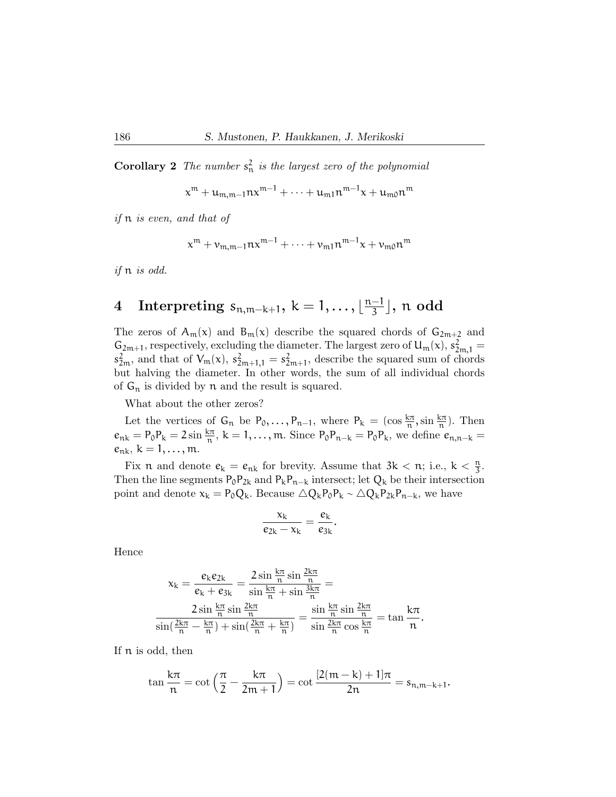**Corollary 2** The number  $s_n^2$  is the largest zero of the polynomial

 $\mathbf{x}^{\mathfrak{m}}+\mathbf{u}_{\mathfrak{m},\mathfrak{m}-1}\mathfrak{n}\mathbf{x}^{\mathfrak{m}-1}+\cdots+\mathbf{u}_{\mathfrak{m}1}\mathfrak{n}^{\mathfrak{m}-1}\mathbf{x}+\mathbf{u}_{\mathfrak{m}0}\mathfrak{n}^{\mathfrak{m}}$ 

if n is even, and that of

$$
x^{m} + \nu_{m,m-1}nx^{m-1} + \cdots + \nu_{m1}n^{m-1}x + \nu_{m0}n^{m}
$$

if n is odd.

#### 4 Interpreting  $s_{n,m-k+1}, k = 1, \ldots, \lfloor \frac{n-1}{3} \rfloor$  $\frac{-1}{3}$ ],  $\operatorname{\mathfrak{n}}$  odd

The zeros of  $A_m(x)$  and  $B_m(x)$  describe the squared chords of  $G_{2m+2}$  and  $G_{2m+1}$ , respectively, excluding the diameter. The largest zero of  $U_m(x)$ ,  $s_{2m,1}^2 =$  $s_{2m}^2$ , and that of  $V_m(x)$ ,  $s_{2m+1,1}^2 = s_{2m+1}^2$ , describe the squared sum of chords but halving the diameter. In other words, the sum of all individual chords of  $G_n$  is divided by n and the result is squared.

What about the other zeros?

Let the vertices of  $G_n$  be  $P_0, \ldots, P_{n-1}$ , where  $P_k = (\cos \frac{k\pi}{n}, \sin \frac{k\pi}{n})$ . Then  $e_{nk} = P_0 P_k = 2 \sin \frac{k\pi}{n}$ ,  $k = 1, \ldots, m$ . Since  $P_0 P_{n-k} = P_0 P_k$ , we define  $e_{n,n-k}$  $e_{nk}, k = 1, ..., m$ .

Fix n and denote  $e_k = e_{nk}$  for brevity. Assume that  $3k < n$ ; i.e.,  $k < \frac{n}{3}$ . Then the line segments  $P_0P_{2k}$  and  $P_kP_{n-k}$  intersect; let  $Q_k$  be their intersection point and denote  $x_k = P_0Q_k$ . Because  $\Delta Q_kP_0P_k \sim \Delta Q_kP_{2k}P_{n-k}$ , we have

$$
\frac{x_k}{e_{2k}-x_k}=\frac{e_k}{e_{3k}}.
$$

Hence

$$
x_k = \frac{e_k e_{2k}}{e_k + e_{3k}} = \frac{2 \sin \frac{k\pi}{n} \sin \frac{2k\pi}{n}}{\sin \frac{k\pi}{n} + \sin \frac{3k\pi}{n}} =
$$
  

$$
\frac{2 \sin \frac{k\pi}{n} \sin \frac{2k\pi}{n}}{\sin(\frac{2k\pi}{n} - \frac{k\pi}{n}) + \sin(\frac{2k\pi}{n} + \frac{k\pi}{n})} = \frac{\sin \frac{k\pi}{n} \sin \frac{2k\pi}{n}}{\sin \frac{2k\pi}{n} \cos \frac{k\pi}{n}} = \tan \frac{k\pi}{n}.
$$

If n is odd, then

$$
\tan \frac{k\pi}{n} = \cot \left( \frac{\pi}{2} - \frac{k\pi}{2m+1} \right) = \cot \frac{[2(m-k)+1]\pi}{2n} = s_{n,m-k+1}.
$$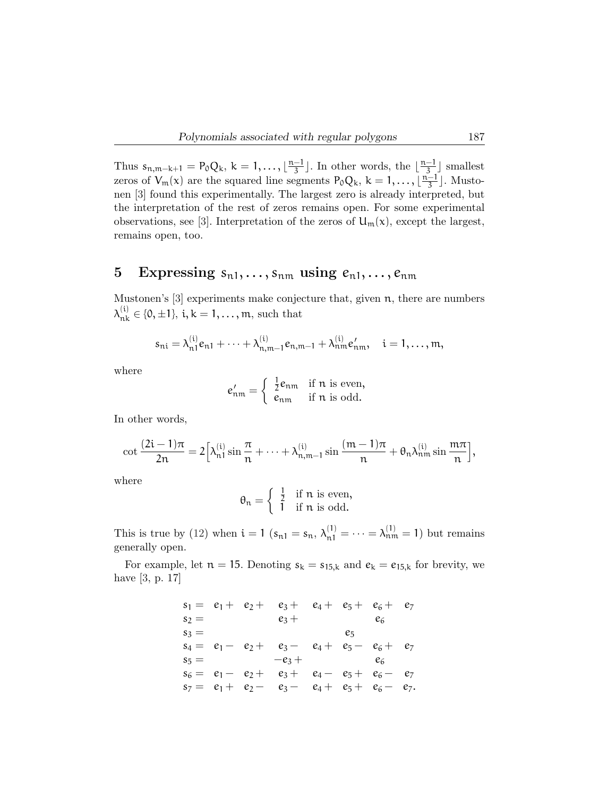Thus  $s_{n,m-k+1} = P_0 Q_k$ ,  $k = 1, ..., \lfloor \frac{n-1}{3} \rfloor$  $\frac{-1}{3}$ . In other words, the  $\lfloor \frac{n-1}{3} \rfloor$ .  $\frac{-1}{3}$  smallest zeros of  $V_m(x)$  are the squared line segments  $P_0Q_k$ ,  $k = 1, \ldots, \lfloor \frac{n-1}{3} \rfloor$  $\frac{-1}{3}$ . Mustonen [3] found this experimentally. The largest zero is already interpreted, but the interpretation of the rest of zeros remains open. For some experimental observations, see [3]. Interpretation of the zeros of  $U_m(x)$ , except the largest, remains open, too.

## 5 Expressing  $s_{n1}, \ldots, s_{nm}$  using  $e_{n1}, \ldots, e_{nm}$

Mustonen's [3] experiments make conjecture that, given n, there are numbers  $\lambda_{nk}^{(i)} \in \{0, \pm 1\}, i, k = 1, \ldots, m$ , such that

$$
s_{ni} = \lambda_{n1}^{(i)} e_{n1} + \cdots + \lambda_{n,m-1}^{(i)} e_{n,m-1} + \lambda_{nm}^{(i)} e'_{nm}, \quad i = 1, \ldots, m,
$$

where

$$
e'_{nm} = \begin{cases} \frac{1}{2}e_{nm} & \text{if } n \text{ is even,} \\ e_{nm} & \text{if } n \text{ is odd.} \end{cases}
$$

In other words,

$$
\cot \frac{(2i-1)\pi}{2n} = 2\Big[\lambda_{n1}^{(i)}\sin \frac{\pi}{n} + \cdots + \lambda_{n,m-1}^{(i)}\sin \frac{(m-1)\pi}{n} + \theta_n\lambda_{nm}^{(i)}\sin \frac{m\pi}{n}\Big],
$$

where

$$
\theta_n = \left\{ \begin{array}{cl} \frac{1}{2} & \text{if } n \text{ is even,} \\ 1 & \text{if } n \text{ is odd.} \end{array} \right.
$$

This is true by (12) when  $i = 1$  ( $s_{n1} = s_n$ ,  $\lambda_{n1}^{(1)} = \cdots = \lambda_{nm}^{(1)} = 1$ ) but remains generally open.

For example, let  $n = 15$ . Denoting  $s_k = s_{15,k}$  and  $e_k = e_{15,k}$  for brevity, we have [3, p. 17]

$$
s_1 = e_1 + e_2 + e_3 + e_4 + e_5 + e_6 + e_7
$$
  
\n
$$
s_2 = e_3 + e_6
$$
  
\n
$$
s_3 = e_5
$$
  
\n
$$
s_4 = e_1 - e_2 + e_3 - e_4 + e_5 - e_6 + e_7
$$
  
\n
$$
s_5 = -e_3 + e_4 - e_5 + e_6 - e_7
$$
  
\n
$$
s_7 = e_1 + e_2 - e_3 - e_4 + e_5 + e_6 - e_7.
$$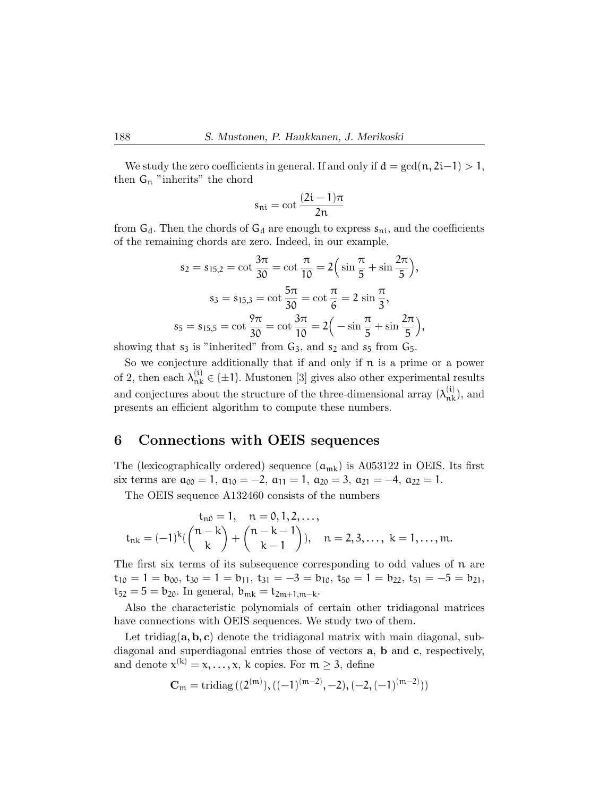We study the zero coefficients in general. If and only if  $d = \gcd(n, 2i-1) > 1$ , then  $G_n$  "inherits" the chord

$$
s_{ni} = \cot \frac{(2i-1)\pi}{2n}
$$

from  $G_d$ . Then the chords of  $G_d$  are enough to express  $s_{ni}$ , and the coefficients of the remaining chords are zero. Indeed, in our example,

$$
s_2 = s_{15,2} = \cot\frac{3\pi}{30} = \cot\frac{\pi}{10} = 2\left(\sin\frac{\pi}{5} + \sin\frac{2\pi}{5}\right),
$$
  
\n
$$
s_3 = s_{15,3} = \cot\frac{5\pi}{30} = \cot\frac{\pi}{6} = 2\sin\frac{\pi}{3},
$$
  
\n
$$
s_5 = s_{15,5} = \cot\frac{9\pi}{30} = \cot\frac{3\pi}{10} = 2\left(-\sin\frac{\pi}{5} + \sin\frac{2\pi}{5}\right),
$$

showing that  $s_3$  is "inherited" from  $G_3$ , and  $s_2$  and  $s_5$  from  $G_5$ .

So we conjecture additionally that if and only if  $\pi$  is a prime or a power of 2, then each  $\lambda_{nk}^{(i)} \in \{\pm 1\}$ . Mustonen [3] gives also other experimental results and conjectures about the structure of the three-dimensional array  $(\lambda_{nk}^{(i)})$ , and presents an efficient algorithm to compute these numbers.

#### 6 Connections with OEIS sequences

The (lexicographically ordered) sequence  $(a_{mk})$  is A053122 in OEIS. Its first six terms are  $a_{00} = 1$ ,  $a_{10} = -2$ ,  $a_{11} = 1$ ,  $a_{20} = 3$ ,  $a_{21} = -4$ ,  $a_{22} = 1$ .

The OEIS sequence A132460 consists of the numbers

$$
t_{n0} = 1, \quad n = 0, 1, 2, \ldots,
$$
  

$$
t_{nk} = (-1)^k \left( \binom{n-k}{k} + \binom{n-k-1}{k-1} \right), \quad n = 2, 3, \ldots, \ k = 1, \ldots, m.
$$

The first six terms of its subsequence corresponding to odd values of  $\pi$  are  $t_{10} = 1 = b_{00}, t_{30} = 1 = b_{11}, t_{31} = -3 = b_{10}, t_{50} = 1 = b_{22}, t_{51} = -5 = b_{21}$  $t_{52} = 5 = b_{20}$ . In general,  $b_{mk} = t_{2m+1,m-k}$ .

Also the characteristic polynomials of certain other tridiagonal matrices have connections with OEIS sequences. We study two of them.

Let tridiag( $\mathbf{a}, \mathbf{b}, \mathbf{c}$ ) denote the tridiagonal matrix with main diagonal, subdiagonal and superdiagonal entries those of vectors a, b and c, respectively, and denote  $x^{(k)} = x, \ldots, x$ , k copies. For  $m \geq 3$ , define

$$
\mathbf{C}_m = \mathrm{tridiag}\left( (2^{(m)}), ((-1)^{(m-2)}, -2), (-2, (-1)^{(m-2)}) \right)
$$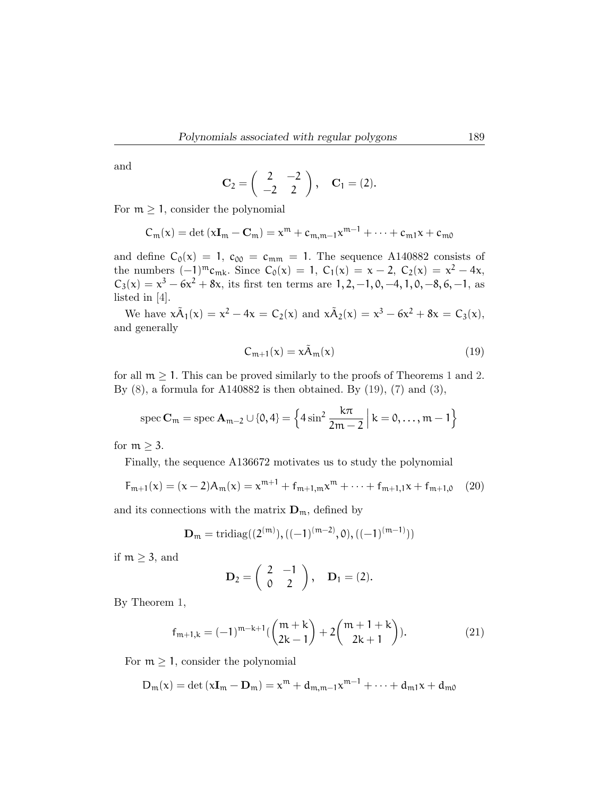and

$$
C_2 = \begin{pmatrix} 2 & -2 \\ -2 & 2 \end{pmatrix}, \quad C_1 = (2).
$$

For  $m \geq 1$ , consider the polynomial

$$
C_m(x) = \det(x\mathbf{I}_m - \mathbf{C}_m) = x^m + c_{m,m-1}x^{m-1} + \cdots + c_{m1}x + c_{m0}
$$

and define  $C_0(x) = 1$ ,  $c_{00} = c_{mm} = 1$ . The sequence A140882 consists of the numbers  $(-1)^{m}c_{mk}$ . Since  $C_0(x) = 1$ ,  $C_1(x) = x - 2$ ,  $C_2(x) = x^2 - 4x$ ,  $C_3(x) = x^3 - 6x^2 + 8x$ , its first ten terms are  $1, 2, -1, 0, -4, 1, 0, -8, 6, -1$ , as listed in [4].

We have  $x\tilde{A}_1(x) = x^2 - 4x = C_2(x)$  and  $x\tilde{A}_2(x) = x^3 - 6x^2 + 8x = C_3(x)$ , and generally

$$
C_{m+1}(x) = x\tilde{A}_m(x) \tag{19}
$$

for all  $m > 1$ . This can be proved similarly to the proofs of Theorems 1 and 2. By  $(8)$ , a formula for A140882 is then obtained. By  $(19)$ ,  $(7)$  and  $(3)$ ,

$$
\operatorname{spec} \mathbf{C}_m = \operatorname{spec} \mathbf{A}_{m-2} \cup \{0, 4\} = \left\{ 4 \sin^2 \frac{k\pi}{2m-2} \; \middle| \; k = 0, \ldots, m-1 \right\}
$$

for  $m \geq 3$ .

Finally, the sequence A136672 motivates us to study the polynomial

$$
F_{m+1}(x) = (x-2)A_m(x) = x^{m+1} + f_{m+1,m}x^m + \dots + f_{m+1,1}x + f_{m+1,0} \tag{20}
$$

and its connections with the matrix  $\mathbf{D}_m$ , defined by

$$
\mathbf{D}_{\mathfrak{m}} = \mathrm{tridiag}((2^{(m)}), ((-1)^{(m-2)}, 0), ((-1)^{(m-1)}))
$$

if  $m \geq 3$ , and

$$
\mathbf{D}_2 = \left( \begin{array}{cc} 2 & -1 \\ 0 & 2 \end{array} \right), \quad \mathbf{D}_1 = (2).
$$

By Theorem 1,

$$
f_{m+1,k} = (-1)^{m-k+1} \left( \binom{m+k}{2k-1} + 2 \binom{m+1+k}{2k+1} \right). \tag{21}
$$

For  $m \geq 1$ , consider the polynomial

$$
D_m(x) = \det(xI_m - D_m) = x^m + d_{m,m-1}x^{m-1} + \cdots + d_{m1}x + d_{m0}
$$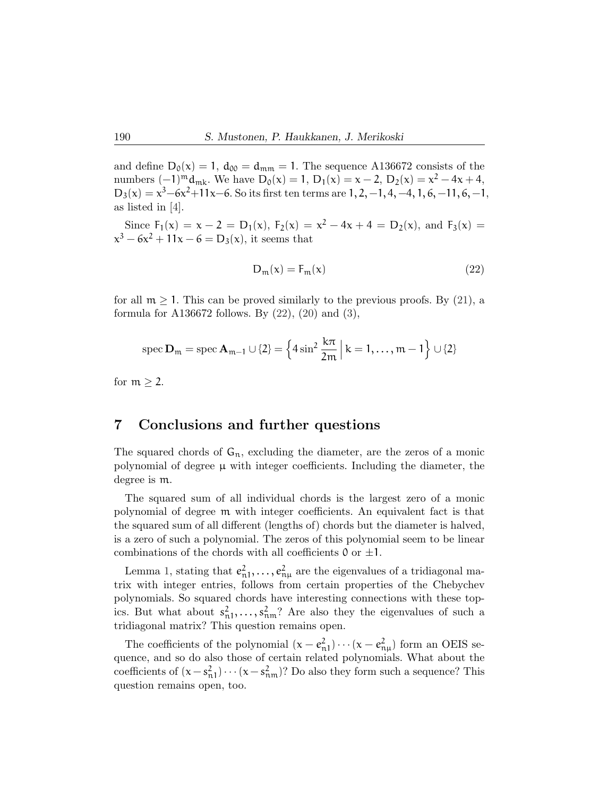and define  $D_0(x) = 1$ ,  $d_{00} = d_{mm} = 1$ . The sequence A136672 consists of the numbers  $(-1)^{m}d_{mk}$ . We have  $D_0(x) = 1$ ,  $D_1(x) = x - 2$ ,  $D_2(x) = x^2 - 4x + 4$ ,  $D_3(x) = x^3 - 6x^2 + 11x - 6$ . So its first ten terms are  $1, 2, -1, 4, -4, 1, 6, -11, 6, -1$ , as listed in [4].

Since  $F_1(x) = x - 2 = D_1(x)$ ,  $F_2(x) = x^2 - 4x + 4 = D_2(x)$ , and  $F_3(x) =$  $x^3 - 6x^2 + 11x - 6 = D_3(x)$ , it seems that

$$
D_m(x) = F_m(x) \tag{22}
$$

for all  $m > 1$ . This can be proved similarly to the previous proofs. By  $(21)$ , a formula for A136672 follows. By (22), (20) and (3),

$$
\operatorname{spec} \mathbf{D}_{\mathfrak{m}} = \operatorname{spec} \mathbf{A}_{\mathfrak{m}-1} \cup \{2\} = \left\{ 4 \sin^2 \frac{k\pi}{2\mathfrak{m}} \, \middle| \, k = 1, \dots, \mathfrak{m} - 1 \right\} \cup \{2\}
$$

for  $m \geq 2$ .

#### 7 Conclusions and further questions

The squared chords of  $G_n$ , excluding the diameter, are the zeros of a monic polynomial of degree  $\mu$  with integer coefficients. Including the diameter, the degree is m.

The squared sum of all individual chords is the largest zero of a monic polynomial of degree m with integer coefficients. An equivalent fact is that the squared sum of all different (lengths of) chords but the diameter is halved, is a zero of such a polynomial. The zeros of this polynomial seem to be linear combinations of the chords with all coefficients  $0$  or  $\pm 1$ .

Lemma 1, stating that  $e_{n1}^2, \ldots, e_{n\mu}^2$  are the eigenvalues of a tridiagonal matrix with integer entries, follows from certain properties of the Chebychev polynomials. So squared chords have interesting connections with these topics. But what about  $s_{n1}^2, \ldots, s_{nm}^2$ ? Are also they the eigenvalues of such a tridiagonal matrix? This question remains open.

The coefficients of the polynomial  $(x - e_{n1}^2) \cdots (x - e_{n\mu}^2)$  form an OEIS sequence, and so do also those of certain related polynomials. What about the coefficients of  $(x - s_{n1}^2) \cdots (x - s_{nm}^2)$ ? Do also they form such a sequence? This question remains open, too.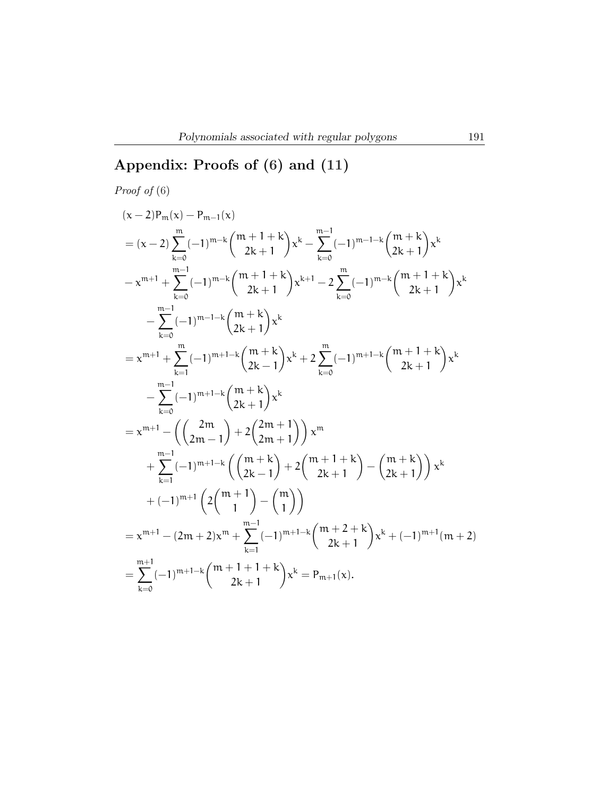## Appendix: Proofs of (6) and (11)

Proof of (6)  
\n
$$
(x-2)P_m(x) - P_{m-1}(x)
$$
\n
$$
= (x-2) \sum_{k=0}^{m} (-1)^{m-k} {m+1+k \choose 2k+1} x^{k} - \sum_{k=0}^{m-1} (-1)^{m-1-k} {m+k \choose 2k+1} x^{k}
$$
\n
$$
-x^{m+1} + \sum_{k=0}^{m-1} (-1)^{m-k} {m+1+k \choose 2k+1} x^{k+1} - 2 \sum_{k=0}^{m} (-1)^{m-k} {m+1+k \choose 2k+1} x^{k}
$$
\n
$$
- \sum_{k=0}^{m-1} (-1)^{m-1-k} {m+k \choose 2k+1} x^{k}
$$
\n
$$
= x^{m+1} + \sum_{k=1}^{m} (-1)^{m+1-k} {m+k \choose 2k+1} x^{k} + 2 \sum_{k=0}^{m} (-1)^{m+1-k} {m+1+k \choose 2k+1} x^{k}
$$
\n
$$
- \sum_{k=0}^{m-1} (-1)^{m+1-k} {m+k \choose 2k+1} x^{k}
$$
\n
$$
= x^{m+1} - \left( {2m \choose 2m-1} + 2 {2m+1 \choose 2m+1} \right) x^{m}
$$
\n
$$
+ \sum_{k=1}^{m-1} (-1)^{m+1-k} \left( {m+k \choose 2k-1} + 2 {m+1+k \choose 2k+1} - {m+k \choose 2k+1} \right) x^{k}
$$
\n
$$
+ (-1)^{m+1} \left( 2 {m+1 \choose 1} - {m \choose 1} \right)
$$
\n
$$
= x^{m+1} - (2m+2)x^{m} + \sum_{k=1}^{m-1} (-1)^{m+1-k} {m+2+k \choose 2k+1} x^{k} + (-1)^{m+1} (m+2)
$$
\n
$$
= \sum_{k=0}^{m+1} (-1)^{m+1-k} {m+1+1+k \choose 2k+1} x^{k} = P_{m+1}(x).
$$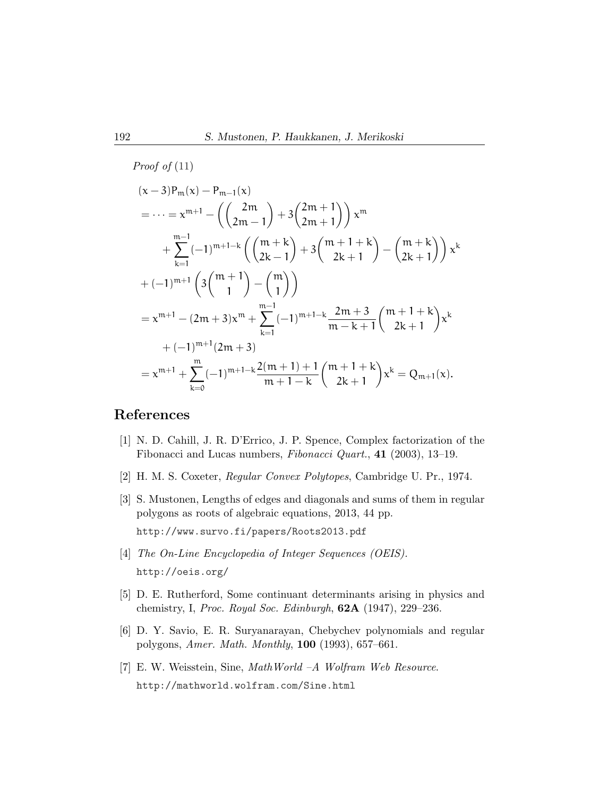Proof of (11)  
\n
$$
(x-3)P_m(x) - P_{m-1}(x)
$$
\n
$$
= \dots = x^{m+1} - \left( \binom{2m}{2m-1} + 3\binom{2m+1}{2m+1} x^m + \sum_{k=1}^{m-1} (-1)^{m+1-k} \left( \binom{m+k}{2k-1} + 3\binom{m+1+k}{2k+1} - \binom{m+k}{2k+1} \right) x^k + (-1)^{m+1} \left( 3\binom{m+1}{1} - \binom{m}{1} \right)
$$
\n
$$
= x^{m+1} - (2m+3)x^m + \sum_{k=1}^{m-1} (-1)^{m+1-k} \frac{2m+3}{m-k+1} \binom{m+1+k}{2k+1} x^k + (-1)^{m+1} (2m+3)
$$
\n
$$
= x^{m+1} + \sum_{k=0}^{m} (-1)^{m+1-k} \frac{2(m+1)+1}{m+1-k} \binom{m+1+k}{2k+1} x^k = Q_{m+1}(x).
$$

## References

- [1] N. D. Cahill, J. R. D'Errico, J. P. Spence, Complex factorization of the Fibonacci and Lucas numbers, Fibonacci Quart., 41 (2003), 13–19.
- [2] H. M. S. Coxeter, Regular Convex Polytopes, Cambridge U. Pr., 1974.
- [3] S. Mustonen, Lengths of edges and diagonals and sums of them in regular polygons as roots of algebraic equations, 2013, 44 pp. <http://www.survo.fi/papers/Roots2013.pdf>
- [4] The On-Line Encyclopedia of Integer Sequences (OEIS). <http://oeis.org/>
- [5] D. E. Rutherford, Some continuant determinants arising in physics and chemistry, I, Proc. Royal Soc. Edinburgh,  $62A$  (1947), 229–236.
- [6] D. Y. Savio, E. R. Suryanarayan, Chebychev polynomials and regular polygons, Amer. Math. Monthly, 100 (1993), 657–661.
- [7] E. W. Weisstein, Sine, MathWorld –A Wolfram Web Resource. <http://mathworld.wolfram.com/Sine.html>